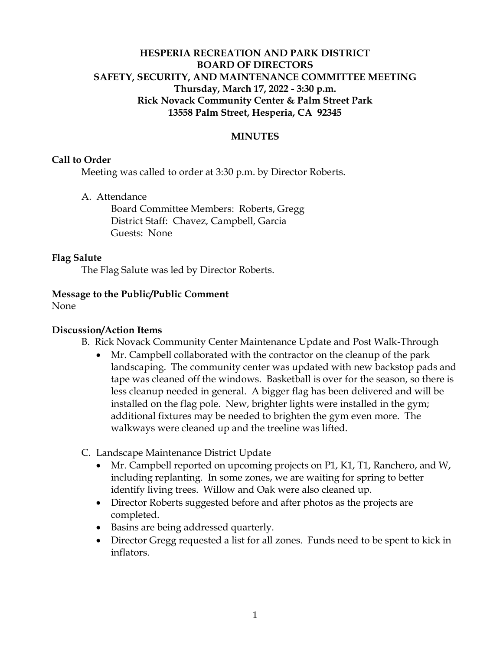# **HESPERIA RECREATION AND PARK DISTRICT BOARD OF DIRECTORS SAFETY, SECURITY, AND MAINTENANCE COMMITTEE MEETING Thursday, March 17, 2022 - 3:30 p.m. Rick Novack Community Center & Palm Street Park 13558 Palm Street, Hesperia, CA 92345**

## **MINUTES**

#### **Call to Order**

Meeting was called to order at 3:30 p.m. by Director Roberts.

A. Attendance

Board Committee Members: Roberts, Gregg District Staff: Chavez, Campbell, Garcia Guests: None

#### **Flag Salute**

The Flag Salute was led by Director Roberts.

#### **Message to the Public/Public Comment**

None

### **Discussion/Action Items**

B. Rick Novack Community Center Maintenance Update and Post Walk-Through

- Mr. Campbell collaborated with the contractor on the cleanup of the park landscaping. The community center was updated with new backstop pads and tape was cleaned off the windows. Basketball is over for the season, so there is less cleanup needed in general. A bigger flag has been delivered and will be installed on the flag pole. New, brighter lights were installed in the gym; additional fixtures may be needed to brighten the gym even more. The walkways were cleaned up and the treeline was lifted.
- C. Landscape Maintenance District Update
	- Mr. Campbell reported on upcoming projects on P1, K1, T1, Ranchero, and W, including replanting. In some zones, we are waiting for spring to better identify living trees. Willow and Oak were also cleaned up.
	- Director Roberts suggested before and after photos as the projects are completed.
	- Basins are being addressed quarterly.
	- Director Gregg requested a list for all zones. Funds need to be spent to kick in inflators.